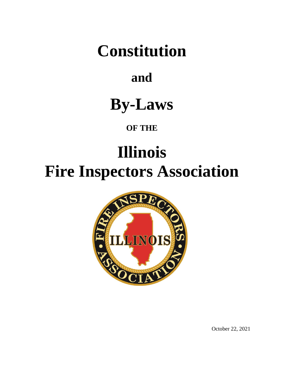# **Constitution**

## **and**

## **By-Laws**

## **OF THE**

# **Illinois Fire Inspectors Association**



October 22, 2021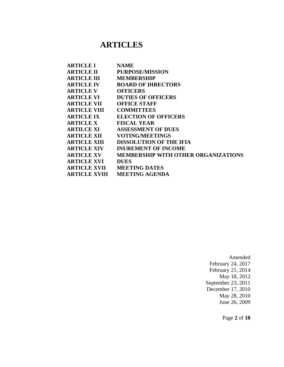### **ARTICLES**

| <b>ARTICLE I</b>     | <b>NAME</b>                                |
|----------------------|--------------------------------------------|
| <b>ARTICLE II</b>    | <b>PURPOSE/MISSION</b>                     |
| <b>ARTICLE III</b>   | <b>MEMBERSHIP</b>                          |
| <b>ARTICLE IV</b>    | <b>BOARD OF DIRECTORS</b>                  |
| <b>ARTICLE V</b>     | <b>OFFICERS</b>                            |
| <b>ARTICLE VI</b>    | <b>DUTIES OF OFFICERS</b>                  |
| <b>ARTICLE VII</b>   | <b>OFFICE STAFF</b>                        |
| <b>ARTICLE VIII</b>  | <b>COMMITTEES</b>                          |
| <b>ARTICLE IX</b>    | <b>ELECTION OF OFFICERS</b>                |
| <b>ARTICLE X</b>     | <b>FISCAL YEAR</b>                         |
| <b>ARTILCE XI</b>    | <b>ASSESSMENT OF DUES</b>                  |
| <b>ARTICLE XII</b>   | <b>VOTING/MEETINGS</b>                     |
| <b>ARTICLE XIII</b>  | <b>DISSOLUTION OF THE IFIA</b>             |
| <b>ARTICLE XIV</b>   | <b>INUREMENT OF INCOME</b>                 |
| <b>ARTICLE XV</b>    | <b>MEMBERSHIP WITH OTHER ORGANIZATIONS</b> |
| <b>ARTICLE XVI</b>   | <b>DUES</b>                                |
| <b>ARTICLE XVII</b>  | <b>MEETING DATES</b>                       |
| <b>ARTICLE XVIII</b> | <b>MEETING AGENDA</b>                      |
|                      |                                            |

Amended February 24, 2017 February 21, 2014 May 18, 2012 September 23, 2011 December 17, 2010 May 28, 2010 June 26, 2009

Page **2** of **18**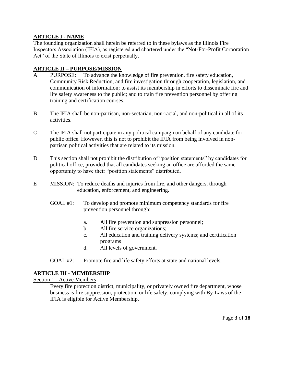#### **ARTICLE I - NAME**

The founding organization shall herein be referred to in these bylaws as the Illinois Fire Inspectors Association (IFIA), as registered and chartered under the "Not-For-Profit Corporation Act" of the State of Illinois to exist perpetually.

#### **ARTICLE II – PURPOSE/MISSION**

- A PURPOSE: To advance the knowledge of fire prevention, fire safety education, Community Risk Reduction, and fire investigation through cooperation, legislation, and communication of information; to assist its membership in efforts to disseminate fire and life safety awareness to the public; and to train fire prevention personnel by offering training and certification courses.
- B The IFIA shall be non-partisan, non-sectarian, non-racial, and non-political in all of its activities.
- C The IFIA shall not participate in any political campaign on behalf of any candidate for public office. However, this is not to prohibit the IFIA from being involved in nonpartisan political activities that are related to its mission.
- D This section shall not prohibit the distribution of "position statements" by candidates for political office, provided that all candidates seeking an office are afforded the same opportunity to have their "position statements" distributed.
- E MISSION: To reduce deaths and injuries from fire, and other dangers, through education, enforcement, and engineering.
	- GOAL #1: To develop and promote minimum competency standards for fire prevention personnel through:
		- a. All fire prevention and suppression personnel;
		- b. All fire service organizations;
		- c. All education and training delivery systems; and certification programs
		- d. All levels of government.
	- GOAL #2: Promote fire and life safety efforts at state and national levels.

#### **ARTICLE III - MEMBERSHIP**

Section 1 - Active Members

Every fire protection district, municipality, or privately owned fire department, whose business is fire suppression, protection, or life safety, complying with By-Laws of the IFIA is eligible for Active Membership.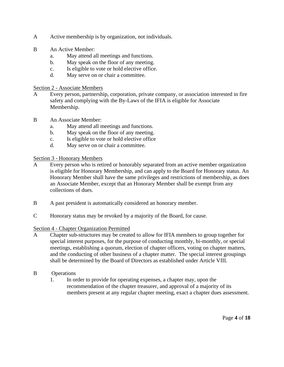- A Active membership is by organization, not individuals.
- B An Active Member:
	- a. May attend all meetings and functions.
	- b. May speak on the floor of any meeting.
	- c. Is eligible to vote or hold elective office.
	- d. May serve on or chair a committee.

#### Section 2 - Associate Members

- A Every person, partnership, corporation, private company, or association interested in fire safety and complying with the By-Laws of the IFIA is eligible for Associate Membership.
- B An Associate Member:
	- a. May attend all meetings and functions.
	- b. May speak on the floor of any meeting.
	- c. Is eligible to vote or hold elective office
	- d. May serve on or chair a committee.

#### Section 3 - Honorary Members

- A Every person who is retired or honorably separated from an active member organization is eligible for Honorary Membership, and can apply to the Board for Honorary status. An Honorary Member shall have the same privileges and restrictions of membership, as does an Associate Member, except that an Honorary Member shall be exempt from any collections of dues.
- B A past president is automatically considered an honorary member.
- C Honorary status may be revoked by a majority of the Board, for cause.

#### Section 4 - Chapter Organization Permitted

- A Chapter sub-structures may be created to allow for IFIA members to group together for special interest purposes, for the purpose of conducting monthly, bi-monthly, or special meetings, establishing a quorum, election of chapter officers, voting on chapter matters, and the conducting of other business of a chapter matter. The special interest groupings shall be determined by the Board of Directors as established under Article VIII.
- B Operations
	- 1. In order to provide for operating expenses, a chapter may, upon the recommendation of the chapter treasurer, and approval of a majority of its members present at any regular chapter meeting, exact a chapter dues assessment.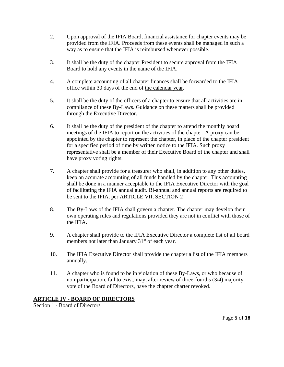- 2. Upon approval of the IFIA Board, financial assistance for chapter events may be provided from the IFIA. Proceeds from these events shall be managed in such a way as to ensure that the IFIA is reimbursed whenever possible.
- 3. It shall be the duty of the chapter President to secure approval from the IFIA Board to hold any events in the name of the IFIA.
- 4. A complete accounting of all chapter finances shall be forwarded to the IFIA office within 30 days of the end of the calendar year.
- 5. It shall be the duty of the officers of a chapter to ensure that all activities are in compliance of these By-Laws. Guidance on these matters shall be provided through the Executive Director.
- 6. It shall be the duty of the president of the chapter to attend the monthly board meetings of the IFIA to report on the activities of the chapter. A proxy can be appointed by the chapter to represent the chapter, in place of the chapter president for a specified period of time by written notice to the IFIA. Such proxy representative shall be a member of their Executive Board of the chapter and shall have proxy voting rights.
- 7. A chapter shall provide for a treasurer who shall, in addition to any other duties, keep an accurate accounting of all funds handled by the chapter. This accounting shall be done in a manner acceptable to the IFIA Executive Director with the goal of facilitating the IFIA annual audit. Bi-annual and annual reports are required to be sent to the IFIA, per ARTICLE VII, SECTION 2
- 8. The By-Laws of the IFIA shall govern a chapter. The chapter may develop their own operating rules and regulations provided they are not in conflict with those of the IFIA.
- 9. A chapter shall provide to the IFIA Executive Director a complete list of all board members not later than January  $31<sup>st</sup>$  of each year.
- 10. The IFIA Executive Director shall provide the chapter a list of the IFIA members annually.
- 11. A chapter who is found to be in violation of these By-Laws, or who because of non-participation, fail to exist, may, after review of three-fourths (3/4) majority vote of the Board of Directors, have the chapter charter revoked.

#### **ARTICLE IV - BOARD OF DIRECTORS**

Section 1 - Board of Directors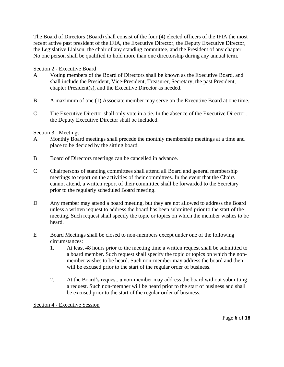The Board of Directors (Board) shall consist of the four (4) elected officers of the IFIA the most recent active past president of the IFIA, the Executive Director, the Deputy Executive Director, the Legislative Liaison, the chair of any standing committee, and the President of any chapter. No one person shall be qualified to hold more than one directorship during any annual term.

#### Section 2 - Executive Board

- A Voting members of the Board of Directors shall be known as the Executive Board, and shall include the President, Vice-President, Treasurer, Secretary, the past President, chapter President(s), and the Executive Director as needed.
- B A maximum of one (1) Associate member may serve on the Executive Board at one time.
- C The Executive Director shall only vote in a tie. In the absence of the Executive Director, the Deputy Executive Director shall be included.

#### Section 3 - Meetings

- A Monthly Board meetings shall precede the monthly membership meetings at a time and place to be decided by the sitting board.
- B Board of Directors meetings can be cancelled in advance.
- C Chairpersons of standing committees shall attend all Board and general membership meetings to report on the activities of their committees. In the event that the Chairs cannot attend, a written report of their committee shall be forwarded to the Secretary prior to the regularly scheduled Board meeting.
- D Any member may attend a board meeting, but they are not allowed to address the Board unless a written request to address the board has been submitted prior to the start of the meeting. Such request shall specify the topic or topics on which the member wishes to be heard.
- E Board Meetings shall be closed to non-members except under one of the following circumstances:
	- 1. At least 48 hours prior to the meeting time a written request shall be submitted to a board member. Such request shall specify the topic or topics on which the nonmember wishes to be heard. Such non-member may address the board and then will be excused prior to the start of the regular order of business.
	- 2. At the Board's request, a non-member may address the board without submitting a request. Such non-member will be heard prior to the start of business and shall be excused prior to the start of the regular order of business.

#### Section 4 - Executive Session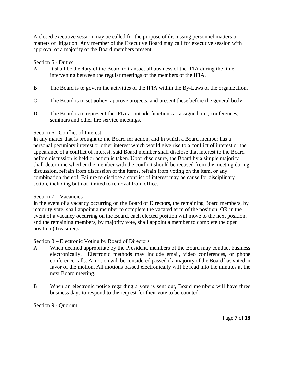A closed executive session may be called for the purpose of discussing personnel matters or matters of litigation. Any member of the Executive Board may call for executive session with approval of a majority of the Board members present.

#### Section 5 - Duties

- A It shall be the duty of the Board to transact all business of the IFIA during the time intervening between the regular meetings of the members of the IFIA.
- B The Board is to govern the activities of the IFIA within the By-Laws of the organization.
- C The Board is to set policy, approve projects, and present these before the general body.
- D The Board is to represent the IFIA at outside functions as assigned, i.e., conferences, seminars and other fire service meetings.

#### Section 6 - Conflict of Interest

In any matter that is brought to the Board for action, and in which a Board member has a personal pecuniary interest or other interest which would give rise to a conflict of interest or the appearance of a conflict of interest, said Board member shall disclose that interest to the Board before discussion is held or action is taken. Upon disclosure, the Board by a simple majority shall determine whether the member with the conflict should be recused from the meeting during discussion, refrain from discussion of the items, refrain from voting on the item, or any combination thereof. Failure to disclose a conflict of interest may be cause for disciplinary action, including but not limited to removal from office.

#### Section 7 – Vacancies

In the event of a vacancy occurring on the Board of Directors, the remaining Board members, by majority vote, shall appoint a member to complete the vacated term of the position*.* OR in the event of a vacancy occurring on the Board, each elected position will move to the next position, and the remaining members, by majority vote, shall appoint a member to complete the open position (Treasurer).

#### Section 8 – Electronic Voting by Board of Directors

- A When deemed appropriate by the President, members of the Board may conduct business electronically. Electronic methods may include email, video conferences, or phone conference calls. A motion will be considered passed if a majority of the Board has voted in favor of the motion. All motions passed electronically will be read into the minutes at the next Board meeting.
- B When an electronic notice regarding a vote is sent out, Board members will have three business days to respond to the request for their vote to be counted.

#### Section 9 - Quorum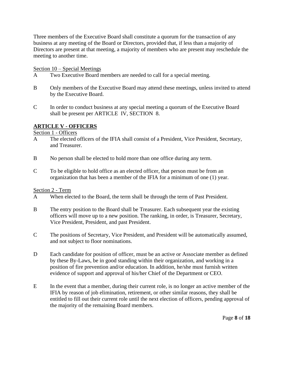Three members of the Executive Board shall constitute a quorum for the transaction of any business at any meeting of the Board or Directors, provided that, if less than a majority of Directors are present at that meeting, a majority of members who are present may reschedule the meeting to another time.

#### Section 10 – Special Meetings

- A Two Executive Board members are needed to call for a special meeting.
- B Only members of the Executive Board may attend these meetings, unless invited to attend by the Executive Board.
- C In order to conduct business at any special meeting a quorum of the Executive Board shall be present per ARTICLE IV, SECTION 8.

#### **ARTICLE V - OFFICERS**

Section 1 - Officers

- A The elected officers of the IFIA shall consist of a President, Vice President, Secretary, and Treasurer.
- B No person shall be elected to hold more than one office during any term.
- C To be eligible to hold office as an elected officer, that person must be from an organization that has been a member of the IFIA for a minimum of one (1) year.

#### Section 2 - Term

- A When elected to the Board, the term shall be through the term of Past President.
- B The entry position to the Board shall be Treasurer. Each subsequent year the existing officers will move up to a new position. The ranking, in order, is Treasurer, Secretary, Vice President, President, and past President.
- C The positions of Secretary, Vice President, and President will be automatically assumed, and not subject to floor nominations.
- D Each candidate for position of officer, must be an active or Associate member as defined by these By-Laws, be in good standing within their organization, and working in a position of fire prevention and/or education. In addition, he/she must furnish written evidence of support and approval of his/her Chief of the Department or CEO.
- E In the event that a member, during their current role, is no longer an active member of the IFIA by reason of job elimination, retirement, or other similar reasons, they shall be entitled to fill out their current role until the next election of officers, pending approval of the majority of the remaining Board members.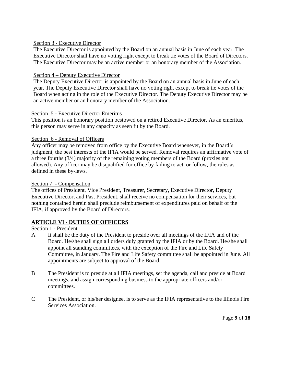#### Section 3 - Executive Director

The Executive Director is appointed by the Board on an annual basis in June of each year. The Executive Director shall have no voting right except to break tie votes of the Board of Directors. The Executive Director may be an active member or an honorary member of the Association.

#### Section 4 – Deputy Executive Director

The Deputy Executive Director is appointed by the Board on an annual basis in June of each year. The Deputy Executive Director shall have no voting right except to break tie votes of the Board when acting in the role of the Executive Director. The Deputy Executive Director may be an active member or an honorary member of the Association.

#### Section 5 - Executive Director Emeritus

This position is an honorary position bestowed on a retired Executive Director. As an emeritus, this person may serve in any capacity as seen fit by the Board.

#### Section 6 - Removal of Officers

Any officer may be removed from office by the Executive Board whenever, in the Board's judgment, the best interests of the IFIA would be served. Removal requires an affirmative vote of a three fourths (3/4) majority of the remaining voting members of the Board (proxies not allowed). Any officer may be disqualified for office by failing to act, or follow, the rules as defined in these by-laws.

#### Section 7 - Compensation

The offices of President, Vice President, Treasurer, Secretary, Executive Director, Deputy Executive Director, and Past President, shall receive no compensation for their services, but nothing contained herein shall preclude reimbursement of expenditures paid on behalf of the IFIA, if approved by the Board of Directors.

#### **ARTICLE VI - DUTIES OF OFFICERS**

#### Section 1 - President

- A It shall be the duty of the President to preside over all meetings of the IFIA and of the Board. He/she shall sign all orders duly granted by the IFIA or by the Board. He/she shall appoint all standing committees, with the exception of the Fire and Life Safety Committee, in January. The Fire and Life Safety committee shall be appointed in June. All appointments are subject to approval of the Board.
- B The President is to preside at all IFIA meetings, set the agenda, call and preside at Board meetings, and assign corresponding business to the appropriate officers and/or committees.
- C The President**,** or his/her designee, is to serve as the IFIA representative to the Illinois Fire Services Association.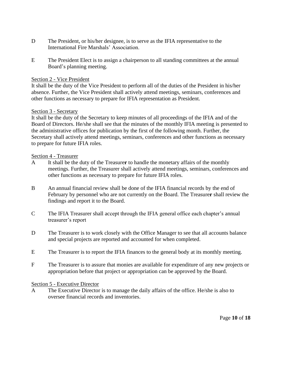- D The President, or his/her designee, is to serve as the IFIA representative to the International Fire Marshals' Association.
- E The President Elect is to assign a chairperson to all standing committees at the annual Board's planning meeting.

#### Section 2 - Vice President

It shall be the duty of the Vice President to perform all of the duties of the President in his/her absence. Further, the Vice President shall actively attend meetings, seminars, conferences and other functions as necessary to prepare for IFIA representation as President.

#### Section 3 - Secretary

It shall be the duty of the Secretary to keep minutes of all proceedings of the IFIA and of the Board of Directors. He/she shall see that the minutes of the monthly IFIA meeting is presented to the administrative offices for publication by the first of the following month. Further, the Secretary shall actively attend meetings, seminars, conferences and other functions as necessary to prepare for future IFIA roles.

#### Section 4 - Treasurer

- A It shall be the duty of the Treasure**r** to handle the monetary affairs of the monthly meetings. Further, the Treasurer shall actively attend meetings, seminars, conferences and other functions as necessary to prepare for future IFIA roles.
- B An annual financial review shall be done of the IFIA financial records by the end of February by personnel who are not currently on the Board. The Treasure**r** shall review the findings and report it to the Board.
- C The IFIA Treasurer shall accept through the IFIA general office each chapter's annual treasurer's report
- D The Treasurer is to work closely with the Office Manager to see that all accounts balance and special projects are reported and accounted for when completed.
- E The Treasurer is to report the IFIA finances to the general body at its monthly meeting.
- F The Treasurer is to assure that monies are available for expenditure of any new projects or appropriation before that project or appropriation can be approved by the Board.

#### Section 5 - Executive Director

A The Executive Director is to manage the daily affairs of the office. He/she is also to oversee financial records and inventories.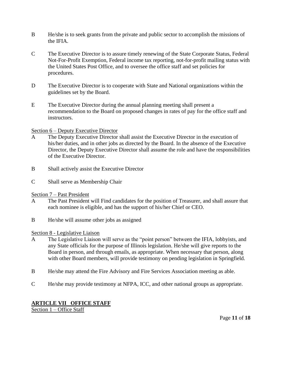- B He/she is to seek grants from the private and public sector to accomplish the missions of the IFIA.
- C The Executive Director is to assure timely renewing of the State Corporate Status, Federal Not-For-Profit Exemption, Federal income tax reporting, not-for-profit mailing status with the United States Post Office, and to oversee the office staff and set policies for procedures.
- D The Executive Director is to cooperate with State and National organizations within the guidelines set by the Board.
- E The Executive Director during the annual planning meeting shall present a recommendation to the Board on proposed changes in rates of pay for the office staff and instructors.

#### Section 6 – Deputy Executive Director

- A The Deputy Executive Director shall assist the Executive Director in the execution of his/her duties, and in other jobs as directed by the Board. In the absence of the Executive Director, the Deputy Executive Director shall assume the role and have the responsibilities of the Executive Director.
- B Shall actively assist the Executive Director
- C Shall serve as Membership Chair

#### Section 7 – Past President

- A The Past President will Find candidates for the position of Treasurer, and shall assure that each nominee is eligible, and has the support of his/her Chief or CEO.
- B He/she will assume other jobs as assigned

#### Section 8 - Legislative Liaison

- A The Legislative Liaison will serve as the "point person" between the IFIA, lobbyists, and any State officials for the purpose of Illinois legislation. He/she will give reports to the Board in person, and through emails, as appropriate. When necessary that person, along with other Board members, will provide testimony on pending legislation in Springfield.
- B He/she may attend the Fire Advisory and Fire Services Association meeting as able.
- C He/she may provide testimony at NFPA, ICC, and other national groups as appropriate.

#### **ARTICLE VII OFFICE STAFF**

Section 1 – Office Staff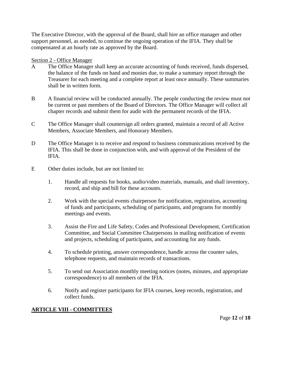The Executive Director, with the approval of the Board, shall hire an office manager and other support personnel, as needed, to continue the ongoing operation of the IFIA. They shall be compensated at an hourly rate as approved by the Board.

#### Section 2 - Office Manager

- A The Office Manager shall keep an accurate accounting of funds received, funds dispersed, the balance of the funds on hand and monies due, to make a summary report through the Treasurer for each meeting and a complete report at least once annually. These summaries shall be in written form.
- B A financial review will be conducted annually. The people conducting the review must not be current or past members of the Board of Directors. The Office Manager will collect all chapter records and submit them for audit with the permanent records of the IFIA.
- C The Office Manager shall countersign all orders granted, maintain a record of all Active Members, Associate Members, and Honorary Members.
- D The Office Manager is to receive and respond to business communications received by the IFIA. This shall be done in conjunction with, and with approval of the President of the IFIA.
- E Other duties include, but are not limited to:
	- 1. Handle all requests for books, audio/video materials, manuals, and shall inventory, record, and ship and bill for these accounts.
	- 2. Work with the special events chairperson for notification, registration, accounting of funds and participants, scheduling of participants, and programs for monthly meetings and events.
	- 3. Assist the Fire and Life Safety, Codes and Professional Development, Certification Committee, and Social Committee Chairpersons in mailing notification of events and projects, scheduling of participants, and accounting for any funds.
	- 4. To schedule printing, answer correspondence, handle across the counter sales, telephone requests, and maintain records of transactions.
	- 5. To send out Association monthly meeting notices (notes, minutes, and appropriate correspondence) to all members of the IFIA.
	- 6. Notify and register participants for IFIA courses, keep records, registration, and collect funds.

#### **ARTICLE VIII - COMMITTEES**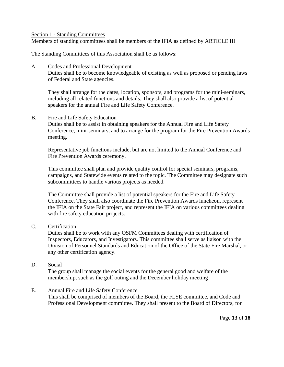Section 1 - Standing Committees

Members of standing committees shall be members of the IFIA as defined by ARTICLE III

The Standing Committees of this Association shall be as follows:

A. Codes and Professional Development

Duties shall be to become knowledgeable of existing as well as proposed or pending laws of Federal and State agencies.

They shall arrange for the dates, location, sponsors, and programs for the mini-seminars, including all related functions and details. They shall also provide a list of potential speakers for the annual Fire and Life Safety Conference.

#### B. Fire and Life Safety Education

Duties shall be to assist in obtaining speakers for the Annual Fire and Life Safety Conference, mini-seminars, and to arrange for the program for the Fire Prevention Awards meeting.

Representative job functions include, but are not limited to the Annual Conference and Fire Prevention Awards ceremony.

This committee shall plan and provide quality control for special seminars, programs, campaigns, and Statewide events related to the topic. The Committee may designate such subcommittees to handle various projects as needed.

The Committee shall provide a list of potential speakers for the Fire and Life Safety Conference. They shall also coordinate the Fire Prevention Awards luncheon, represent the IFIA on the State Fair project, and represent the IFIA on various committees dealing with fire safety education projects.

#### C. Certification

Duties shall be to work with any OSFM Committees dealing with certification of Inspectors, Educators, and Investigators. This committee shall serve as liaison with the Division of Personnel Standards and Education of the Office of the State Fire Marshal, or any other certification agency.

#### D. Social

The group shall manage the social events for the general good and welfare of the membership, such as the golf outing and the December holiday meeting

#### E. Annual Fire and Life Safety Conference

This shall be comprised of members of the Board, the FLSE committee, and Code and Professional Development committee. They shall present to the Board of Directors, for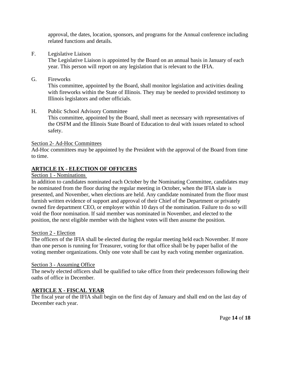approval, the dates, location, sponsors, and programs for the Annual conference including related functions and details.

F. Legislative Liaison

The Legislative Liaison is appointed by the Board on an annual basis in January of each year. This person will report on any legislation that is relevant to the IFIA.

#### G. Fireworks

This committee, appointed by the Board, shall monitor legislation and activities dealing with fireworks within the State of Illinois. They may be needed to provided testimony to Illinois legislators and other officials.

#### H. Public School Advisory Committee

This committee, appointed by the Board, shall meet as necessary with representatives of the OSFM and the Illinois State Board of Education to deal with issues related to school safety.

Section 2- Ad-Hoc Committees

Ad-Hoc committees may be appointed by the President with the approval of the Board from time to time.

#### **ARTICLE IX - ELECTION OF OFFICERS**

#### Section 1 - Nominations

In addition to candidates nominated each October by the Nominating Committee, candidates may be nominated from the floor during the regular meeting in October, when the IFIA slate is presented, and November, when elections are held. Any candidate nominated from the floor must furnish written evidence of support and approval of their Chief of the Department or privately owned fire department CEO, or employer within 10 days of the nomination. Failure to do so will void the floor nomination. If said member was nominated in November, and elected to the position, the next eligible member with the highest votes will then assume the position.

#### Section 2 - Election

The officers of the IFIA shall be elected during the regular meeting held each November. If more than one person is running for Treasurer, voting for that office shall be by paper ballot of the voting member organizations. Only one vote shall be cast by each voting member organization.

#### Section 3 - Assuming Office

The newly elected officers shall be qualified to take office from their predecessors following their oaths of office in December.

#### **ARTICLE X - FISCAL YEAR**

The fiscal year of the IFIA shall begin on the first day of January and shall end on the last day of December each year.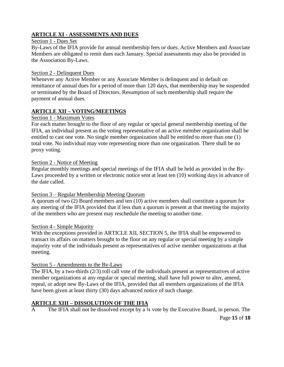#### **ARTICLE XI - ASSESSMENTS AND DUES**

#### Section 1 - Dues Set

By-Laws of the IFIA provide for annual membership fees or dues. Active Members and Associate Members are obligated to remit dues each January. Special assessments may also be provided in the Association By-Laws.

#### Section 2 - Delinquent Dues

Whenever any Active Member or any Associate Member is delinquent and in default on remittance of annual dues for a period of more than 120 days, that membership may be suspended or terminated by the Board of Directors. Resumption of such membership shall require the payment of annual dues.

#### **ARTICLE XII – VOTING/MEETINGS**

#### Section 1 - Maximum Votes

For each matter brought to the floor of any regular or special general membership meeting of the IFIA, an individual present as the voting representative of an active member organization shall be entitled to cast one vote. No single member organization shall be entitled to more than one (1) total vote. No individual may vote representing more than one organization. There shall be no proxy voting.

#### Section 2 - Notice of Meeting

Regular monthly meetings and special meetings of the IFIA shall be held as provided in the By-Laws proceeded by a written or electronic notice sent at least ten (10) working days in advance of the date called.

#### Section 3 – Regular Membership Meeting Quorum

A quorum of two (2) Board members and ten (10) active members shall constitute a quorum for any meeting of the IFIA provided that if less than a quorum is present at that meeting the majority of the members who are present may reschedule the meeting to another time.

#### Section 4 - Simple Majority

With the exceptions provided in ARTICLE XII, SECTION 5, the IFIA shall be empowered to transact its affairs on matters brought to the floor on any regular or special meeting by a simple majority vote of the individuals present as representatives of active member organizations at that meeting.

#### Section 5 - Amendments to the By-Laws

The IFIA, by a two-thirds (2/3) roll call vote of the individuals present as representatives of active member organizations at any regular or special meeting, shall have full power to alter, amend, repeal, or adopt new By-Laws of the IFIA, provided that all members organizations of the IFIA have been given at least thirty (30) days advanced notice of such change.

#### **ARTICLE XIII – DISSOLUTION OF THE IFIA**

Page **15** of **18** A The IFIA shall not be dissolved except by a ¾ vote by the Executive Board, in person. The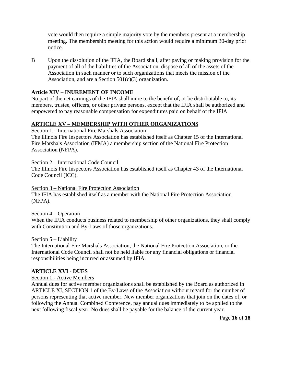vote would then require a simple majority vote by the members present at a membership meeting. The membership meeting for this action would require a minimum 30-day prior notice.

B Upon the dissolution of the IFIA, the Board shall, after paying or making provision for the payment of all of the liabilities of the Association, dispose of all of the assets of the Association in such manner or to such organizations that meets the mission of the Association, and are a Section  $501(c)(3)$  organization.

#### **Article XIV – INUREMENT OF INCOME**

No part of the net earnings of the IFIA shall inure to the benefit of, or be distributable to, its members, trustee, officers, or other private persons, except that the IFIA shall be authorized and empowered to pay reasonable compensation for expenditures paid on behalf of the IFIA

#### **ARTICLE XV – MEMBERSHIP WITH OTHER ORGANIZATIONS**

Section 1 – International Fire Marshals Association

The Illinois Fire Inspectors Association has established itself as Chapter 15 of the International Fire Marshals Association (IFMA) a membership section of the National Fire Protection Association (NFPA).

Section 2 – International Code Council

The Illinois Fire Inspectors Association has established itself as Chapter 43 of the International Code Council (ICC).

#### Section 3 – National Fire Protection Association

The IFIA has established itself as a member with the National Fire Protection Association (NFPA).

#### Section 4 – Operation

When the IFIA conducts business related to membership of other organizations, they shall comply with Constitution and By-Laws of those organizations.

#### Section 5 – Liability

The International Fire Marshals Association, the National Fire Protection Association, or the International Code Council shall not be held liable for any financial obligations or financial responsibilities being incurred or assumed by IFIA.

#### **ARTICLE XVI - DUES**

#### Section 1 - Active Members

Annual dues for active member organizations shall be established by the Board as authorized in ARTICLE XI, SECTION 1 of the By-Laws of the Association without regard for the number of persons representing that active member. New member organizations that join on the dates of, or following the Annual Combined Conference, pay annual dues immediately to be applied to the next following fiscal year. No dues shall be payable for the balance of the current year.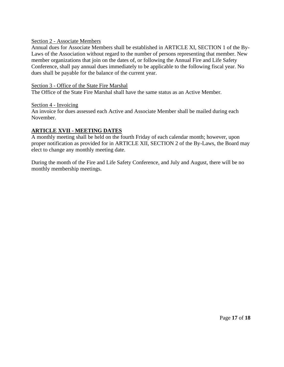#### Section 2 - Associate Members

Annual dues for Associate Members shall be established in ARTICLE XI, SECTION 1 of the By-Laws of the Association without regard to the number of persons representing that member. New member organizations that join on the dates of, or following the Annual Fire and Life Safety Conference, shall pay annual dues immediately to be applicable to the following fiscal year. No dues shall be payable for the balance of the current year.

#### Section 3 - Office of the State Fire Marshal

The Office of the State Fire Marshal shall have the same status as an Active Member.

Section 4 - Invoicing

An invoice for dues assessed each Active and Associate Member shall be mailed during each November.

#### **ARTICLE XVII - MEETING DATES**

A monthly meeting shall be held on the fourth Friday of each calendar month; however, upon proper notification as provided for in ARTICLE XII, SECTION 2 of the By-Laws, the Board may elect to change any monthly meeting date.

During the month of the Fire and Life Safety Conference, and July and August, there will be no monthly membership meetings.